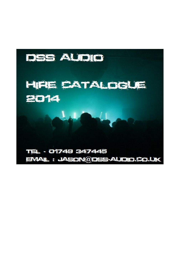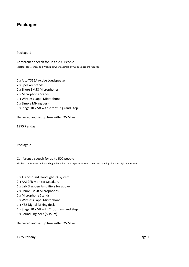Package 1

Conference speech for up to 200 People Ideal for conferences and Weddings where a single or two speakers are required.

 x Alto TS15A Active Loudspeaker x Speaker Stands x Shure SM58 Microphones x Microphone Stands x Wireless Lapel Microphone x Simple Mixing desk x Stage 10 x 5ft with 2 foot Legs and Step.

Delivered and set up free within 25 Miles

£275 Per day

Package 2

Conference speech for up to 500 people

Ideal for conferences and Weddings where there is a large audience to cover and sound quality is of high importance.

- 1 x Turbosound Floodlight PA system
- 2 x AA12FR Monitor Speakers
- 1 x Lab Gruppen Amplifiers for above
- 2 x Shure SM58 Microphones
- 2 x Microphone Stands
- 1 x Wireless Lapel Microphone
- 1 x X32 Digital Mixing desk
- 1 x Stage 10 x 5ft with 2 foot Legs and Step.
- 1 x Sound Engineer (8Hours)

Delivered and set up free within 25 Miles

£475 Per day Page 1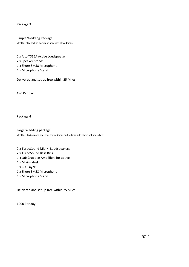Simple Wedding Package Ideal for play back of music and speeches at weddings.

 x Alto TS15A Active Loudspeaker x Speaker Stands x Shure SM58 Microphone x Microphone Stand

Delivered and set up free within 25 Miles

£90 Per day

Package 4

Large Wedding package Ideal for Playback and speeches for weddings on the large side where volume is key.

- 2 x TurboSound Mid Hi Loudspeakers
- 2 x TurboSound Bass Bins
- 1 x Lab Gruppen Amplifiers for above
- 1 x Mixing desk
- 1 x CD Player
- 1 x Shure SM58 Microphone
- 1 x Microphone Stand

Delivered and set up free within 25 Miles

£200 Per day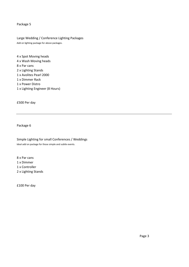Large Wedding / Conference Lighting Packages Add on lighting package for above packages.

 x Spot Moving heads x Wash Moving heads x Par cans x Lighting Stands x Avolites Pearl 2000 x Dimmer Rack x Power Distro x Lighting Engineer (8 Hours)

£500 Per day

Package 6

Simple Lighting for small Conferences / Weddings Ideal add on package for those simple and subtle events.

 x Par cans 1 x Dimmer x Controller x Lighting Stands

£100 Per day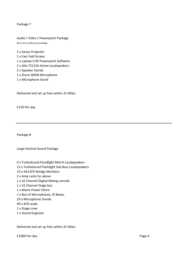Audio / Video / Powerpoint Package All in one conference package

 x Sanyo Projector x Fast Fold Screen x Laptop C/W Powerpoint Software x Alto TS115A Active Loudspeakers x Speaker Stands x Shure SM58 Microphone x Microphone Stand

Delivered and set up free within 25 Miles

£150 Per day

Package 8

Large Festival Sound Package

- x TurboSound Floodlight Mid Hi Loudspeakers x TurboSound Flashlight Sub Bass Loudspeakers x AA12FR Wedge Monitors x Amp racks for above x 32 Channel Digital Mixing console x 32 Channel Stage box x Mains Power Distro x Box of Microphones, DI Boxes x Microphone Stands x XLR Leads x Stage crew
- x Sound Engineer

Delivered and set up free within 25 Miles

£1000 Per day Page 4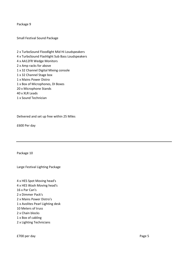Small Festival Sound Package

 x TurboSound Floodlight Mid Hi Loudspeakers x TurboSound Flashlight Sub Bass Loudspeakers x AA12FR Wedge Monitors x Amp racks for above x 32 Channel Digital Mixing console x 32 Channel Stage box x Mains Power Distro x Box of Microphones, DI Boxes x Microphone Stands x XLR Leads x Sound Technician

Delivered and set up free within 25 Miles

£600 Per day

Package 10

Large Festival Lighting Package

 x HES Spot Moving head's x HES Wash Moving head's x Par Can's x Dimmer Pack's x Mains Power Distro's x Avolites Pearl Lighting desk Meters of truss x Chain blocks x Box of cabling x Lighting Technicians

£700 per day Page 5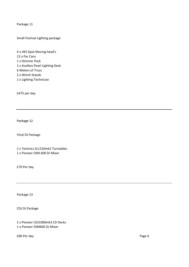Small Festival Lighting package

 x HES Spot Moving head's x Par Cans x Dimmer Pack x Avolites Pearl Lighting Desk Meters of Truss x Winch Stands x Lighting Technician

£475 per day

Package 12

Vinyl DJ Package

2 x Technics SL1210mk2 Turntables 1 x Pioneer DJM 600 DJ Mixer

£70 Per day

Package 13

CDJ DJ Package

2 x Pioneer CDJ1000mk3 CD Decks 1 x Pioneer DJM600 DJ Mixer

£80 Per day Page 6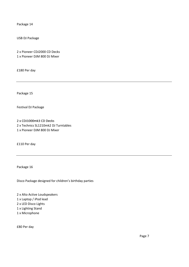USB DJ Package

2 x Pioneer CDJ2000 CD Decks 1 x Pioneer DJM 800 DJ Mixer

£180 Per day

Package 15

Festival DJ Package

2 x CDJ1000mk3 CD Decks 2 x Technics SL1210mk2 DJ Turntables 1 x Pioneer DJM 800 DJ Mixer

£110 Per day

Package 16

Disco Package designed for children's birthday parties

 x Alto Active Loudspeakers x Laptop / iPod lead x LED Disco Lights x Lighting Stand x Microphone

£80 Per day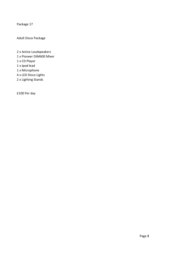Adult Disco Package

 x Active Loudspeakers x Pioneer DJM600 Mixer x CD Player x Ipod lead x Microphone x LED Disco Lights x Lighting Stands

£100 Per day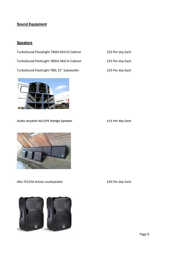## **Sound Equipment**

## **Speakers**

| TurboSound FloodLight 760ht Mid Hi Cabinet |
|--------------------------------------------|
| TurboSound FlashLight 780H2 Mid Hi Cabinet |
| TurboSound FlashLight 780L 21" Subwoofer   |



£25 Per day Each

£25 Per day Each



Audio Anyalist AA12FR Wedge Speaker **1988** E15 Per day Each

Alto TS115A Active Loudspeaker **1988** E30 Per day Each

Page 9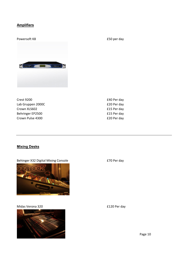### **Amplifiers**

Powersoft K8 **E50** per day **Course Company** 

Crest 9200 **E40 Per day** Lab Gruppen 2000C **EXAMPLE 120 Per day** Crown XLS602 **E15** Per day Behringer EP2500 **E15 Per day** Crown Pulse 4300 **E20 Per day** 

## Mixing Desks

Behinger X32 Digital Mixing Console **EXA** E70 Per day



Midas Verona 320 **E120** Per day



Page 10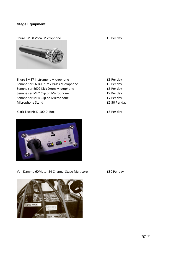#### **Stage Equipment**

Shure SM58 Vocal Microphone **E5** Per day



Shure SM57 Instrument Microphone **E5 Per day** Sennheiser E604 Drum / Brass Microphone **E5 Per day** Sennheiser E602 Kick Drum Microphone **E5 Per day** Sennheiser ME2 Clip on Microphone **EXA** E7 Per day Sennheiser ME4 Clip on Microphone **E7 Per day** Microphone Stand **E2.50 Per day** 

#### Klark Tecknic DI100 DI Box **E5 Per day**



Van Damme 60Meter 24 Channel Stage Multicore **E30 Per day** 

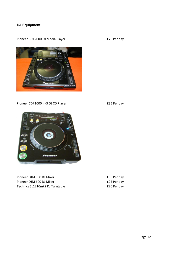## DJ Equipment

Pioneer CDJ 2000 DJ Media Player **1988** 2000 E70 Per day



Pioneer CDJ 1000mk3 DJ CD Player **E35 Per day** 





Pioneer DJM 800 DJ Mixer **E35 Per day** Pioneer DJM 600 DJ Mixer **E25 Per day** Technics SL1210mk2 DJ Turntable <br>
£20 Per day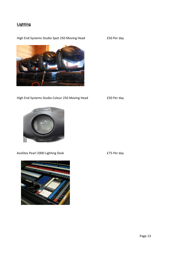## **Lighting**

High End Systems Studio Spot 250 Moving Head £50 Per day



High End Systems Studio Colour 250 Moving Head £50 Per day



Avolites Pearl 2000 Lighting Desk **E75 Per day** 

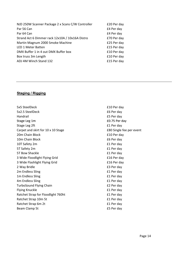| £20 Per day |
|-------------|
| £4 Per day  |
| £4 Per day  |
| £70 Per day |
| £25 Per day |
| £15 Per day |
| £10 Per day |
| £10 Per day |
| £15 Per day |
|             |

#### Staging / Rigging

5x5 SteelDeck **E10** Per day 5x2.5 SteelDeck **E6** Per day Handrail £5 Per day Stage Leg 1m **ED.75 Per day** Stage Leg 2ft **E1** Per day Carpet and skirt for 10 x 10 Stage **EXA** Single fee per event 20m Chain Block **E10 Per day** 10m Chain Block **E6** Per day 10T Safety 2m £1 Per day 5T Safety 2m **E1** Per day 5T Bow Shackle **E1** Per day 3 Wide Floodlight Flying Grid **EXALL EXAMPLE 16 Per day** 3 Wide Flashlight Flying Grid **Elfort Contract 12 Flort Contract Contract Contract Contract Contract Contract Contract Contract Contract Contract Contract Contract Contract Contract Contract Contract Contract Contract Cont** 2 Way Bridle **E3** Per day 2m Endless Sling 2m Endless Sling 1m Endless Sling **E1 Per day** 4m Endless Sling **Example 20** and 20 and 20 and 20 and 20 and 20 and 20 and 20 and 20 and 20 and 20 and 20 and 20 and 20 and 20 and 20 and 20 and 20 and 20 and 20 and 20 and 20 and 20 and 20 and 20 and 20 and 20 and 20 and TurboSound Flying Chain **EXALL EXALL EXAMPLE 2 Per day** Flying Knuckle **Election** E1 Per day Ratchet Strap for Floodlight 760ht **Election 2018** E1 Per day Ratchet Strap 10m 5t **E1** Per day Ratchet Strap 6m 2t **E1** Per day Beam Clamp 5t **ES** Per day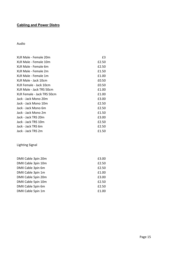## Cabling and Power Distro

Audio

| XLR Male - Female 20m      | £3    |
|----------------------------|-------|
| XLR Male - Female 10m      | £2.50 |
| XLR Male - Female 6m       | £2.50 |
| XLR Male - Female 2m       | £1.50 |
| XLR Male - Female 1m       | £1.00 |
| XLR Male - Jack 10cm       | £0.50 |
| XLR Female - Jack 10cm     | £0.50 |
| XLR Male - Jack TRS 50cm   | £1.00 |
| XLR Female - Jack TRS 50cm | £1.00 |
| Jack - Jack Mono 20m       | £3.00 |
| Jack - Jack Mono 10m       | £2.50 |
| Jack - Jack Mono 6m        | £2.50 |
| Jack - Jack Mono 2m        | £1.50 |
| Jack - Jack TRS 20m        | £3.00 |
| Jack - Jack TRS 10m        | £2.50 |
| Jack - Jack TRS 6m         | £2.50 |
| Jack - Jack TRS 2m         | £1.50 |

## Lighting Signal

| DMX Cable 3pin 20m | £3.00 |
|--------------------|-------|
| DMX Cable 3pin 10m | £2.50 |
| DMX Cable 3pin 6m  | £2.50 |
| DMX Cable 3pin 1m  | £1.00 |
| DMX Cable 5pin 20m | £3.00 |
| DMX Cable 5pin 10m | £2.50 |
| DMX Cable 5pin 6m  | £2.50 |
| DMX Cable 5pin 1m  | £1.00 |
|                    |       |